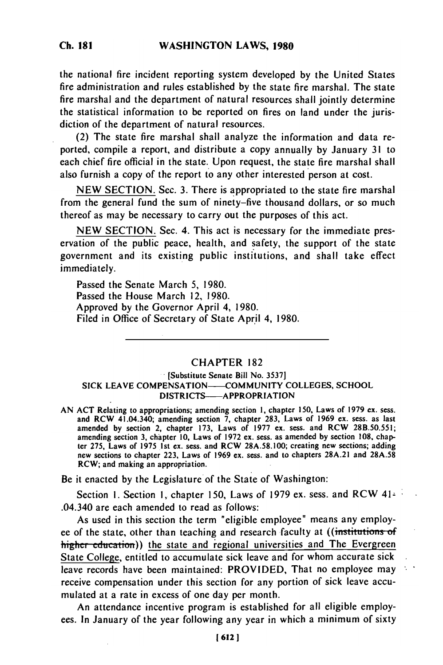the national fire incident reporting system developed **by** the United States fire administration and rules established by the state fire marshal. The state fire marshal and the department of natural resources shall jointly determine the statistical information to be reported on fires on land under the jurisdiction of the department of natural resources.

(2) The state fire marshal shall analyze the information and data reported, compile a report, and distribute a copy annually by January 31 to each chief fire official in the state. Upon request, the state fire marshal shall also furnish a copy of the report to any other interested person at cost.

NEW SECTION. Sec. 3. There is appropriated to the state fire marshal from the general fund the sum of ninety-five thousand dollars, or so much thereof as may be necessary to carry out the purposes of this act.

**NEW** SECTION. Sec. 4. This act is necessary for the immediate preservation of the public peace, health, and safety, the support of the state government and its existing public institutions, and shall take effect immediately.

Passed the Senate March 5, 1980. Passed the House March 12, 1980. Approved by the Governor April 4, 1980. Filed in Office of Secretary of State April 4, 1980.

# CHAPTER 182

## [Substitute **Senate** Bill No. **3537]** SICK **LEAVE COMPENSATION--COMMUNITY COLLEGES, SCHOOL** DISTRICTS-APPROPRIATION

AN ACT Relating to appropriations; amending section **1,** chapter 150, Laws of 1979 **ex.** sess. and RCW 41.04.340; amending section **7,** chapter 283, Laws of 1969 *ex.* sess. as last amended by section amending section  $l$ , chapter 253, Laws of 1977 ex. sess. and RCW 29B.50.551; amending section **3,** chapter **10,** Laws of 1972 ex. sess. as amended by section **108,** chapamending section 3, chapter 10, Laws of 1972 ex. sess. as amended by section 108, chapter 275, Laws of 1975 1st ex. sess. and RCW 28A.58.100; creating new sections; adding new sections to chapter 223, Laws of 1969 ex. sess. and to chapter 28A.21 and 28A.58 RCW; and making an appropriation.

Be it enacted by the Legislature of the State of Washington:

Section 1. Section 1, chapter 150, Laws of 1979 ex. sess. and RCW 41-.04.340 *are* each amended to read as follows:

As used in this section the term "eligible employee" means any employee of the state, other than teaching and research faculty at ((institutions of higher education)) the state and regional universities and The Evergreen State College, entitled to accumulate sick leave and for whom accurate sick leave records have been maintained: PROVIDED, That no employee may receive compensation under this section for any portion of sick leave accumulated at a rate in excess of one day per month.

An attendance incentive program is established for all eligible employees. In January of the year following any year in which a minimum of sixty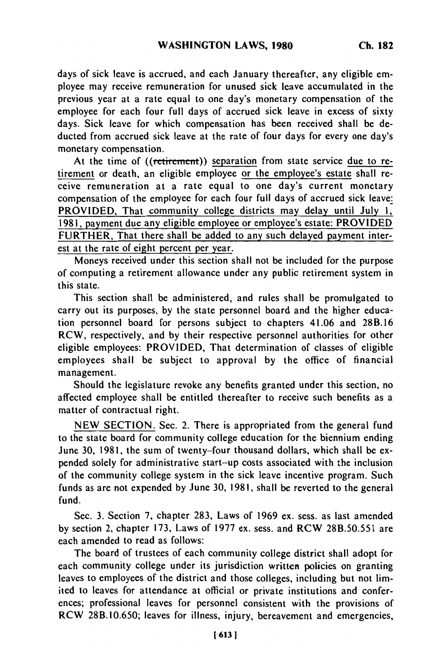days of sick leave is accrued, and each January thereafter, any eligible employee may receive remuneration for unused sick leave accumulated in the previous year at a rate equal to one day's monetary compensation of the employee for each four full days of accrued sick leave in excess of sixty days. Sick leave for which compensation has been received shall be deducted from accrued sick leave at the rate of four days for every one day's monetary compensation.

At the time of ((retirement)) separation from state service due to retirement or death, an eligible employee or the employee's estate shall receive remuneration at a rate equal to one day's current monetary compensation of the employee for each four full days of accrued sick leave: PROVIDED, That community college districts may delay until July 1, 1981, payment due any eligible employee or employee's estate: PROVIDED FURTHER, That there shall be added to any such delayed payment interest at the rate of eight percent per year.

Moneys received under this section shall not be included for the purpose of computing a retirement allowance under any public retirement system in this state.

This section shall be administered, and rules shall be promulgated to carry out its purposes, by the state personnel board and the higher education personnel board for persons subject to chapters 41.06 and 28B.16 RCW, respectively, and by their respective personnel authorities for other eligible employees: PROVIDED, That determination of classes of eligible employees shall be subject to approval by the office of financial management.

Should the legislature revoke any benefits granted under this section, no affected employee shall be entitled thereafter to receive such benefits as a matter of contractual right.

NEW SECTION. Sec. 2. There is appropriated from the general fund to the state board for community college education for the biennium ending June 30, 1981, the sum of twenty-four thousand dollars, which shall be expended solely for administrative start-up costs associated with the inclusion of the community college system in the sick leave incentive program. Such funds as are not expended by June 30, 1981, shall be reverted to the general fund.

Sec. 3. Section 7, chapter 283, Laws of 1969 ex. sess. as last amended by section 2, chapter 173, Laws of 1977 ex. sess. and RCW 28B.50.551 are each amended to read as follows:

The board of trustees of each community college district shall adopt for each community college under its jurisdiction written policies on granting leaves to employees of the district and those colleges, including but not limited to leaves for attendance at official or private institutions and conferences; professional leaves for personnel consistent with the provisions of RCW 28B.10.650; leaves for illness, injury, bereavement and emergencies,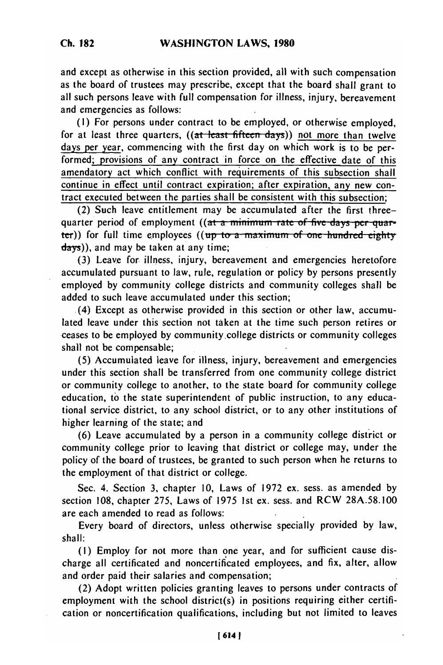and except as otherwise in this section provided, all with such compensation as the board of trustees may prescribe, except that the board shall grant to all such persons leave with full compensation for illness, injury, bereavement and emergencies as follows:

(I) For persons under contract to be employed, or otherwise employed, for at least three quarters, ((at least fifteen days)) not more than twelve days per year, commencing with the first day on which work is to be performed; provisions of any contract in force on the effective date of this amendatory act which conflict with requirements of this subsection shall continue in effect until contract expiration; after expiration, any new contract executed between the parties shall be consistent with this subsection;

(2) Such leave entitlement may be accumulated after the first threequarter period of employment ((at a minimum rate of five days per quarter)) for full time employees ((up to a maximum of one hundred eightydays)), and may be taken at any time;

(3) Leave for illness, injury, bereavement and emergencies heretofore accumulated pursuant to law, rule, regulation or policy by persons presently employed by community college districts and community colleges shall be added to such leave accumulated under this section;

(4) Except as otherwise provided in this section or other law, accumulated leave under this section not taken at the time such person retires or ceases to be employed by community college districts or community colleges shall not be compensable;

(5) Accumulated leave for illness, injury, bereavement and emergencies under this section shall be transferred from one community college district or community college to another, to the state board for community college education, to the state superintendent of public instruction, to any educational service district, to any school district, or to any other institutions of higher learning of the state; and

(6) Leave accumulated by a person in a community college district or community college prior to leaving that district or college may, under the policy of the board of trustees, be granted to such person when he returns to the employment of that district or college.

Sec. 4. Section 3, chapter 10, Laws of 1972 ex. sess. as amended by section 108, chapter 275, Laws of 1975 1st ex. sess. and RCW 28A.58.100 are each amended to read as follows:

Every board of directors, unless otherwise specially provided by law, shall:

(I) Employ for not more than one year, and for sufficient cause discharge all certificated and noncertificated employees, and fix, alter, allow and order paid their salaries and compensation;

(2) Adopt written policies granting leaves to persons under contracts of employment with the school district(s) in positions requiring either certification or noncertification qualifications, including but not limited to leaves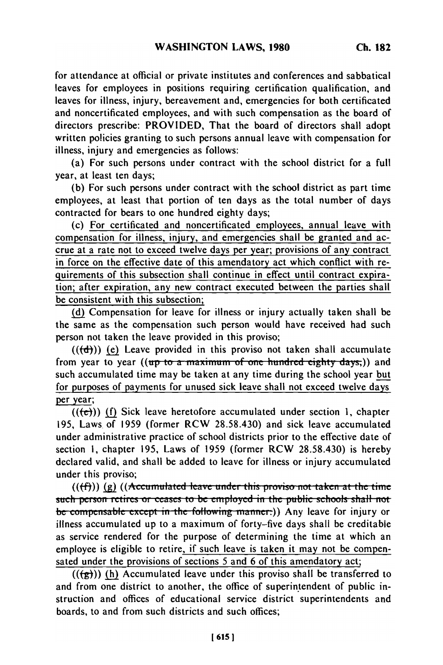for attendance at official or private institutes and conferences and sabbatical leaves for employees in positions requiring certification qualification, and leaves for illness, injury, bereavement and, emergencies for both certificated and noncertificated employees, and with such compensation as the board of directors prescribe: PROVIDED, That the board of directors shall adopt written policies granting to such persons annual leave with compensation for illness, injury and emergencies as follows:

(a) For such persons under contract with the school district for a full year, at least ten days;

(b) For such persons under contract with the school district as part time employees, at least that portion of ten days as the total number of days contracted for bears to one hundred eighty days;

(c) For certificated and noncertificated employees, annual leave with compensation for illness, injury, and emergencies shall be granted and accrue at a rate not to exceed twelve days per year; provisions of any contract in force on the effective date of this amendatory act which conflict with requirements of this subsection shall continue in effect until contract expiration; after expiration, any new contract executed between the parties shall be consistent with this subsection;

**(d)** Compensation for leave for illness or injury actually taken shall be the same as the compensation such person would have received had such person not taken the leave provided in this proviso;

 $((\text{+})$ ) (e) Leave provided in this proviso not taken shall accumulate from year to year  $((up to a maximum of one hundred eighty days))$  and such accumulated time may be taken at any time during the school year but for purposes of payments for unused sick leave shall not exceed twelve days per year;

 $((\epsilon))$  (f) Sick leave heretofore accumulated under section 1, chapter 195, Laws of 1959 (former RCW 28.58.430) and sick leave accumulated under administrative practice of school districts prior to the effective date of section **1,** chapter 195, Laws of 1959 (former RCW 28.58.430) is hereby declared valid, and shall be added to leave for illness or injury accumulated under this proviso;

 $((\text{ff}))$  (g)  $((\text{Accumulated leave under this proviso not taken at the time})$ such person retires or ceases to be employed in the public schools shall not be compensable except in the following manner:)) Any leave for injury or illness accumulated up to a maximum of forty-five days shall be creditable as service rendered for the purpose of determining the time at which an employee is eligible to retire, if such leave is taken it may not be compensated under the provisions of sections 5 and 6 of this amendatory act;

 $((\overrightarrow{g}))$  (h) Accumulated leave under this proviso shall be transferred to and from one district to another, the office of superintendent of public instruction and offices of educational service district superintendents and boards, to and from such districts and such offices;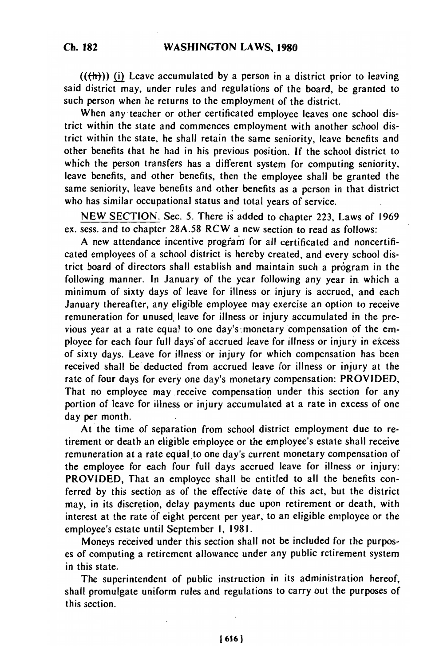$((+h))$  (i) Leave accumulated by a person in a district prior to leaving said district may, under rules and regulations of the board, be granted to such person when he returns to the employment of the district.

When any teacher or other certificated employee leaves one school district within the state and commences employment with another school district within the state, he shall retain the same seniority, leave benefits and other benefits that he had in his previous position. **If** the school district to which the person transfers has a different system for computing seniority, leave benefits, and other benefits, then the employee shall be granted the same seniority, leave benefits and other benefits as a person in that district who has similar occupational status and total years of service.

NEW SECTION. Sec. 5. There is added to chapter 223, Laws of 1969 ex. sess. and to chapter 28A.58 RCW a new section to read as follows:

A new attendance incentive program for all certificated and noncertificated employees of a school district is hereby created, and every school district board of directors shall establish and maintain such a program in the following manner. In January of the year following any year in. which a minimum of sixty days of leave for illness or injury is accrued, and each January thereafter, any eligible employee may exercise an option to receive remuneration for unused, leave for illness or injury accumulated in the previous year at a rate equal to one day's'monetary compensation of the employee for each four full days'of accrued leave for illness or injury in excess of sixty days. Leave for illness or injury for which compensation has been received shall be deducted from accrued leave for illness or injury at the rate of four days for every one day's monetary compensation: PROVIDED, That no employee may receive compensation under this section for any portion of leave for illness or injury accumulated at a rate in excess of one day per month.

At the time of separation from school district employment due to retirement or death an eligible employee or the employee's estate shall receive remuneration at a rate equal to one day's current monetary compensation of the employee for each four full days accrued leave for illness or injury: PROVIDED, That an employee shall be entitled to all the benefits conferred by this section as of the effective date of this act, but the district may, in its discretion, delay payments due upon retirement or death, with interest at the rate of eight percent per year, to an eligible employee or the employee's estate until September I, 1981.

Moneys received under this section shall not be included for the purposes of computing a retirement allowance under any public retirement system in this state.

The superintendent of public instruction in its administration hereof, shall promulgate uniform rules and regulations to carry out the purposes of this section.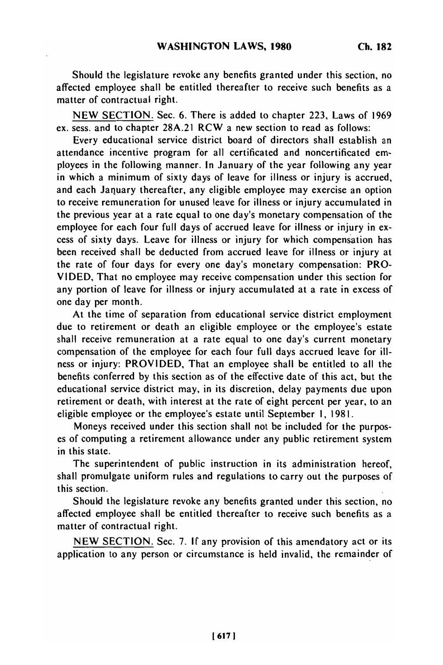Should the legislature revoke any benefits granted under this section, no affected employee shall be entitled thereafter to receive such benefits as a matter of contractual right.

NEW SECTION. Sec. 6. There is added to chapter 223, Laws of 1969 ex. sess. and to chapter 28A.21 RCW a new section to read as follows:

Every educational service district board of directors shall establish an attendance incentive program for all certificated and noncertificated employees in the following manner. In January of the year following any year in which a minimum of sixty days of leave for illness or injury is accrued, and each January thereafter, any eligible employee may exercise an option to receive remuneration for unused leave for illness or injury accumulated in the previous year at a rate equal to one day's monetary compensation of the employee for each four full days of accrued leave for illness or injury in excess of sixty days. Leave for illness or injury for which compensation has been received shall be deducted from accrued leave for illness or injury at the rate of four days for every one day's monetary compensation: PRO-VIDED, That no employee may receive compensation under this section for any portion of leave for illness or injury accumulated at a rate in excess of one day per month.

At the time of separation from educational service district employment due to retirement or death an eligible employee or the employee's estate shall receive remuneration at a rate equal to one day's current monetary compensation of the employee for each four full days accrued leave for illness or injury: PROVIDED, That an employee shall be entitled to all the benefits conferred by this section as of the effective date of this act, but the educational service district may, in its discretion, delay payments due upon retirement or death, with interest at the rate of eight percent per year, to an eligible employee or the employee's estate until September **1,** 1981.

Moneys received under this section shall not be included for the purposes of computing a retirement allowance under any public retirement system in this state.

The superintendent of public instruction in its administration hereof, shall promulgate uniform rules and regulations to carry out the purposes of this section.

Should the legislature revoke any benefits granted under this section, no affected employee shall be entitled thereafter to receive such benefits as a matter of contractual right.

NEW SECTION. Sec. 7. If any provision of this amendatory act or its application to any person or circumstance is held invalid, the remainder of